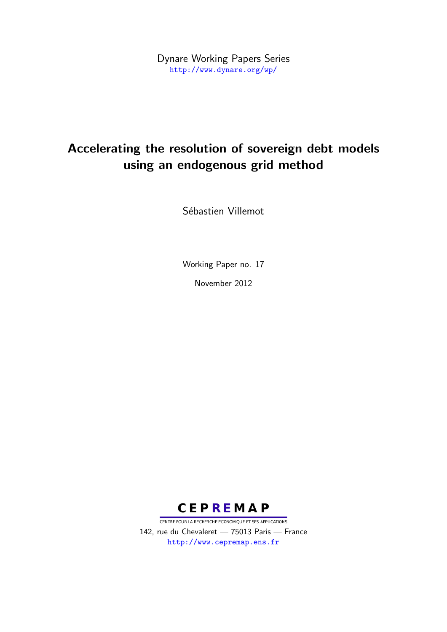Dynare Working Papers Series <http://www.dynare.org/wp/>

# Accelerating the resolution of sovereign debt models using an endogenous grid method

Sébastien Villemot

Working Paper no. 17

November 2012



CENTRE POUR LA RECHERCHE ECONOMIQUE ET SES APPLICATIONS 142, rue du Chevaleret — 75013 Paris — France <http://www.cepremap.ens.fr>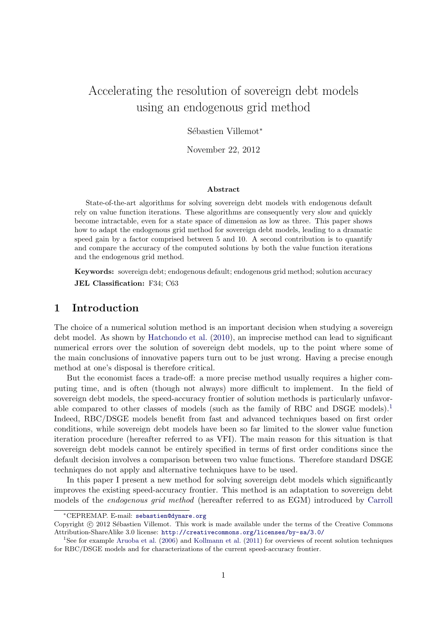# Accelerating the resolution of sovereign debt models using an endogenous grid method

Sébastien Villemot\*

November 22, 2012

#### Abstract

State-of-the-art algorithms for solving sovereign debt models with endogenous default rely on value function iterations. These algorithms are consequently very slow and quickly become intractable, even for a state space of dimension as low as three. This paper shows how to adapt the endogenous grid method for sovereign debt models, leading to a dramatic speed gain by a factor comprised between 5 and 10. A second contribution is to quantify and compare the accuracy of the computed solutions by both the value function iterations and the endogenous grid method.

Keywords: sovereign debt; endogenous default; endogenous grid method; solution accuracy JEL Classification: F34; C63

## 1 Introduction

The choice of a numerical solution method is an important decision when studying a sovereign debt model. As shown by [Hatchondo et al.](#page-17-0) [\(2010\)](#page-17-0), an imprecise method can lead to significant numerical errors over the solution of sovereign debt models, up to the point where some of the main conclusions of innovative papers turn out to be just wrong. Having a precise enough method at one's disposal is therefore critical.

But the economist faces a trade-off: a more precise method usually requires a higher computing time, and is often (though not always) more difficult to implement. In the field of sovereign debt models, the speed-accuracy frontier of solution methods is particularly unfavor-able compared to other classes of models (such as the family of RBC and DSGE models).<sup>[1](#page-1-0)</sup> Indeed, RBC/DSGE models benefit from fast and advanced techniques based on first order conditions, while sovereign debt models have been so far limited to the slower value function iteration procedure (hereafter referred to as VFI). The main reason for this situation is that sovereign debt models cannot be entirely specified in terms of first order conditions since the default decision involves a comparison between two value functions. Therefore standard DSGE techniques do not apply and alternative techniques have to be used.

In this paper I present a new method for solving sovereign debt models which significantly improves the existing speed-accuracy frontier. This method is an adaptation to sovereign debt models of the endogenous grid method (hereafter referred to as EGM) introduced by [Carroll](#page-17-1)

<sup>∗</sup>CEPREMAP. E-mail: [sebastien@dynare.org](mailto:sebastien@dynare.org )

Copyright © 2012 Sébastien Villemot. This work is made available under the terms of the Creative Commons Attribution-ShareAlike 3.0 license: <http://creativecommons.org/licenses/by-sa/3.0/>

<span id="page-1-0"></span><sup>&</sup>lt;sup>1</sup>See for example [Aruoba et al.](#page-16-0) [\(2006\)](#page-16-0) and [Kollmann et al.](#page-17-2) [\(2011\)](#page-17-2) for overviews of recent solution techniques for RBC/DSGE models and for characterizations of the current speed-accuracy frontier.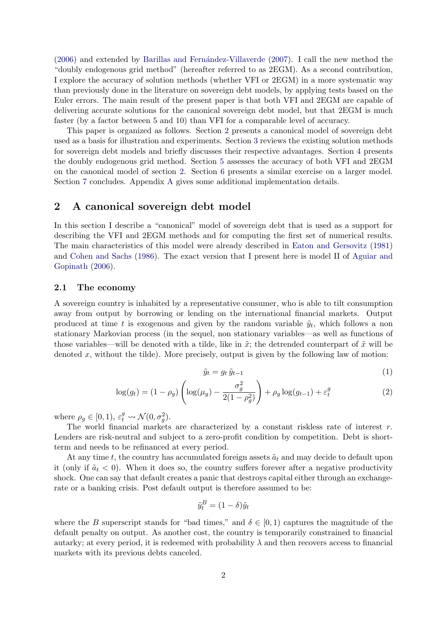$(2006)$  and extended by Barillas and Fernández-Villaverde  $(2007)$ . I call the new method the "doubly endogenous grid method" (hereafter referred to as 2EGM). As a second contribution, I explore the accuracy of solution methods (whether VFI or 2EGM) in a more systematic way than previously done in the literature on sovereign debt models, by applying tests based on the Euler errors. The main result of the present paper is that both VFI and 2EGM are capable of delivering accurate solutions for the canonical sovereign debt model, but that 2EGM is much faster (by a factor between 5 and 10) than VFI for a comparable level of accuracy.

This paper is organized as follows. Section [2](#page-2-0) presents a canonical model of sovereign debt used as a basis for illustration and experiments. Section [3](#page-4-0) reviews the existing solution methods for sovereign debt models and briefly discusses their respective advantages. Section [4](#page-6-0) presents the doubly endogenous grid method. Section [5](#page-10-0) assesses the accuracy of both VFI and 2EGM on the canonical model of section [2.](#page-2-0) Section [6](#page-14-0) presents a similar exercise on a larger model. Section [7](#page-16-2) concludes. Appendix [A](#page-17-3) gives some additional implementation details.

## <span id="page-2-0"></span>2 A canonical sovereign debt model

In this section I describe a "canonical" model of sovereign debt that is used as a support for describing the VFI and 2EGM methods and for computing the first set of numerical results. The main characteristics of this model were already described in [Eaton and Gersovitz](#page-17-4) [\(1981\)](#page-17-4) and [Cohen and Sachs](#page-17-5) [\(1986\)](#page-17-5). The exact version that I present here is model II of [Aguiar and](#page-16-3) [Gopinath](#page-16-3) [\(2006\)](#page-16-3).

## 2.1 The economy

A sovereign country is inhabited by a representative consumer, who is able to tilt consumption away from output by borrowing or lending on the international financial markets. Output produced at time t is exogenous and given by the random variable  $\tilde{y}_t$ , which follows a non stationary Markovian process (in the sequel, non stationary variables—as well as functions of those variables—will be denoted with a tilde, like in  $\tilde{x}$ ; the detrended counterpart of  $\tilde{x}$  will be denoted x, without the tilde). More precisely, output is given by the following law of motion:

$$
\tilde{y}_t = g_t \, \tilde{y}_{t-1} \tag{1}
$$

$$
\log(g_t) = (1 - \rho_g) \left( \log(\mu_g) - \frac{\sigma_g^2}{2(1 - \rho_g^2)} \right) + \rho_g \log(g_{t-1}) + \varepsilon_t^g \tag{2}
$$

where  $\rho_g \in [0, 1), \, \varepsilon_t^g \leadsto \mathcal{N}(0, \sigma_g^2)$ .

The world financial markets are characterized by a constant riskless rate of interest  $r$ . Lenders are risk-neutral and subject to a zero-profit condition by competition. Debt is shortterm and needs to be refinanced at every period.

At any time t, the country has accumulated foreign assets  $\tilde{a}_t$  and may decide to default upon it (only if  $\tilde{a}_t < 0$ ). When it does so, the country suffers forever after a negative productivity shock. One can say that default creates a panic that destroys capital either through an exchangerate or a banking crisis. Post default output is therefore assumed to be:

$$
\tilde{y}_t^B = (1 - \delta)\tilde{y}_t
$$

where the B superscript stands for "bad times," and  $\delta \in [0,1)$  captures the magnitude of the default penalty on output. As another cost, the country is temporarily constrained to financial autarky; at every period, it is redeemed with probability  $\lambda$  and then recovers access to financial markets with its previous debts canceled.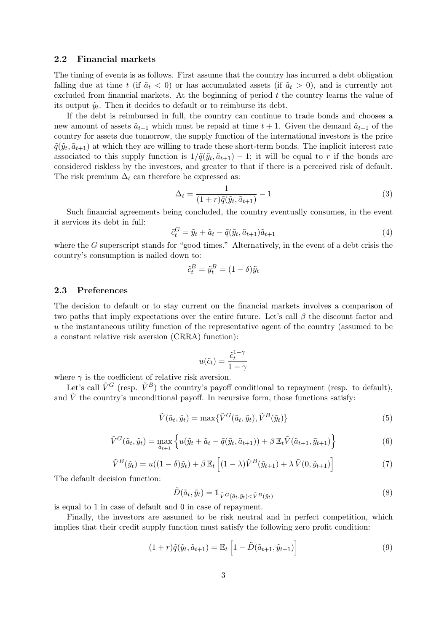## 2.2 Financial markets

The timing of events is as follows. First assume that the country has incurred a debt obligation falling due at time t (if  $\tilde{a}_t < 0$ ) or has accumulated assets (if  $\tilde{a}_t > 0$ ), and is currently not excluded from financial markets. At the beginning of period  $t$  the country learns the value of its output  $\tilde{y}_t$ . Then it decides to default or to reimburse its debt.

If the debt is reimbursed in full, the country can continue to trade bonds and chooses a new amount of assets  $\tilde{a}_{t+1}$  which must be repaid at time  $t + 1$ . Given the demand  $\tilde{a}_{t+1}$  of the country for assets due tomorrow, the supply function of the international investors is the price  $\tilde{q}(\tilde{y}_t, \tilde{a}_{t+1})$  at which they are willing to trade these short-term bonds. The implicit interest rate associated to this supply function is  $1/\tilde{q}(\tilde{y}_t, \tilde{a}_{t+1}) - 1$ ; it will be equal to r if the bonds are considered riskless by the investors, and greater to that if there is a perceived risk of default. The risk premium  $\Delta_t$  can therefore be expressed as:

$$
\Delta_t = \frac{1}{(1+r)\tilde{q}(\tilde{y}_t, \tilde{a}_{t+1})} - 1\tag{3}
$$

Such financial agreements being concluded, the country eventually consumes, in the event it services its debt in full:

<span id="page-3-5"></span>
$$
\tilde{c}_t^G = \tilde{y}_t + \tilde{a}_t - \tilde{q}(\tilde{y}_t, \tilde{a}_{t+1})\tilde{a}_{t+1} \tag{4}
$$

where the  $G$  superscript stands for "good times." Alternatively, in the event of a debt crisis the country's consumption is nailed down to:

$$
\tilde{c}_t^B = \tilde{y}_t^B = (1 - \delta)\tilde{y}_t
$$

## 2.3 Preferences

The decision to default or to stay current on the financial markets involves a comparison of two paths that imply expectations over the entire future. Let's call  $\beta$  the discount factor and u the instantaneous utility function of the representative agent of the country (assumed to be a constant relative risk aversion (CRRA) function):

$$
u(\tilde{c}_t) = \frac{\tilde{c}_t^{1-\gamma}}{1-\gamma}
$$

where  $\gamma$  is the coefficient of relative risk aversion.

Let's call  $\tilde{V}^G$  (resp.  $\tilde{V}^B$ ) the country's payoff conditional to repayment (resp. to default), and  $\tilde{V}$  the country's unconditional payoff. In recursive form, those functions satisfy:

<span id="page-3-0"></span>
$$
\tilde{V}(\tilde{a}_t, \tilde{y}_t) = \max{\{\tilde{V}^G(\tilde{a}_t, \tilde{y}_t), \tilde{V}^B(\tilde{y}_t)\}}
$$
\n(5)

<span id="page-3-3"></span>
$$
\tilde{V}^G(\tilde{a}_t, \tilde{y}_t) = \max_{\tilde{a}_{t+1}} \left\{ u(\tilde{y}_t + \tilde{a}_t - \tilde{q}(\tilde{y}_t, \tilde{a}_{t+1})) + \beta \mathbb{E}_t \tilde{V}(\tilde{a}_{t+1}, \tilde{y}_{t+1}) \right\}
$$
(6)

<span id="page-3-4"></span>
$$
\tilde{V}^{B}(\tilde{y}_{t}) = u((1 - \delta)\tilde{y}_{t}) + \beta \mathbb{E}_{t} \left[ (1 - \lambda)\tilde{V}^{B}(\tilde{y}_{t+1}) + \lambda \tilde{V}(0, \tilde{y}_{t+1}) \right]
$$
\n(7)

The default decision function:

<span id="page-3-1"></span>
$$
\tilde{D}(\tilde{a}_t, \tilde{y}_t) = \mathbb{1}_{\tilde{V}^G(\tilde{a}_t, \tilde{y}_t) < \tilde{V}^B(\tilde{y}_t)}\tag{8}
$$

is equal to 1 in case of default and 0 in case of repayment.

Finally, the investors are assumed to be risk neutral and in perfect competition, which implies that their credit supply function must satisfy the following zero profit condition:

<span id="page-3-2"></span>
$$
(1+r)\tilde{q}(\tilde{y}_t, \tilde{a}_{t+1}) = \mathbb{E}_t \left[1 - \tilde{D}(\tilde{a}_{t+1}, \tilde{y}_{t+1})\right]
$$
\n(9)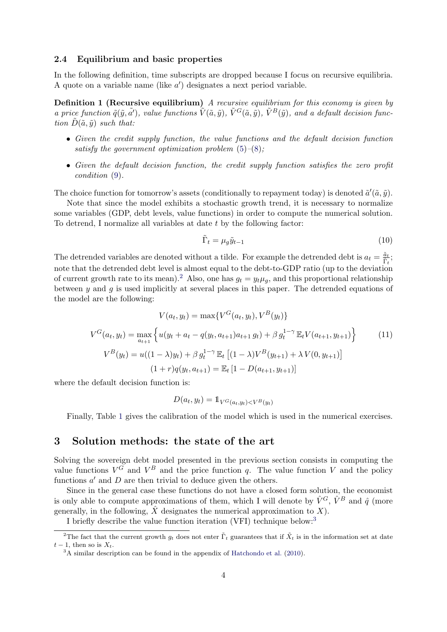## 2.4 Equilibrium and basic properties

In the following definition, time subscripts are dropped because I focus on recursive equilibria. A quote on a variable name (like  $a'$ ) designates a next period variable.

Definition 1 (Recursive equilibrium) A recursive equilibrium for this economy is given by a price function  $\tilde{q}(\tilde{y}, \tilde{a}')$ , value functions  $\tilde{V}(\tilde{a}, \tilde{y})$ ,  $\tilde{V}^G(\tilde{a}, \tilde{y})$ ,  $\tilde{V}^B(\tilde{y})$ , and a default decision function  $\tilde{D}(\tilde{a}, \tilde{y})$  such that:

- Given the credit supply function, the value functions and the default decision function satisfy the government optimization problem  $(5)-(8)$  $(5)-(8)$  $(5)-(8)$ ;
- Given the default decision function, the credit supply function satisfies the zero profit condition [\(9\)](#page-3-2).

The choice function for tomorrow's assets (conditionally to repayment today) is denoted  $\tilde{a}'(\tilde{a}, \tilde{y})$ .

Note that since the model exhibits a stochastic growth trend, it is necessary to normalize some variables (GDP, debt levels, value functions) in order to compute the numerical solution. To detrend, I normalize all variables at date t by the following factor:

$$
\tilde{\Gamma}_t = \mu_g \tilde{y}_{t-1} \tag{10}
$$

The detrended variables are denoted without a tilde. For example the detrended debt is  $a_t = \frac{\tilde{a}_t}{\tilde{\Gamma}_t}$ ; note that the detrended debt level is almost equal to the debt-to-GDP ratio (up to the deviation of current growth rate to its mean).<sup>[2](#page-4-1)</sup> Also, one has  $g_t = y_t \mu_q$ , and this proportional relationship between  $y$  and  $g$  is used implicitly at several places in this paper. The detrended equations of the model are the following:

<span id="page-4-3"></span>
$$
V(a_t, y_t) = \max \{ V^G(a_t, y_t), V^B(y_t) \}
$$
  
\n
$$
V^G(a_t, y_t) = \max_{a_{t+1}} \left\{ u(y_t + a_t - q(y_t, a_{t+1})a_{t+1} g_t) + \beta g_t^{1-\gamma} \mathbb{E}_t V(a_{t+1}, y_{t+1}) \right\}
$$
(11)  
\n
$$
V^B(y_t) = u((1 - \lambda)y_t) + \beta g_t^{1-\gamma} \mathbb{E}_t [(1 - \lambda)V^B(y_{t+1}) + \lambda V(0, y_{t+1})]
$$
  
\n
$$
(1 + r)q(y_t, a_{t+1}) = \mathbb{E}_t [1 - D(a_{t+1}, y_{t+1})]
$$

where the default decision function is:

$$
D(a_t, y_t) = \mathbb{1}_{V^G(a_t, y_t) < V^B(y_t)}
$$

Finally, Table [1](#page-5-0) gives the calibration of the model which is used in the numerical exercises.

## <span id="page-4-0"></span>3 Solution methods: the state of the art

Solving the sovereign debt model presented in the previous section consists in computing the value functions  $V^G$  and  $V^B$  and the price function q. The value function V and the policy functions  $a'$  and  $D$  are then trivial to deduce given the others.

Since in the general case these functions do not have a closed form solution, the economist is only able to compute approximations of them, which I will denote by  $\hat{V}^G$ ,  $\hat{V}^B$  and  $\hat{q}$  (more generally, in the following,  $\hat{X}$  designates the numerical approximation to X).

<span id="page-4-1"></span>I briefly describe the value function iteration (VFI) technique below:[3](#page-4-2)

<sup>&</sup>lt;sup>2</sup>The fact that the current growth  $g_t$  does not enter  $\tilde{\Gamma}_t$  guarantees that if  $\tilde{X}_t$  is in the information set at date  $t-1$ , then so is  $X_t$ .

<span id="page-4-2"></span><sup>3</sup>A similar description can be found in the appendix of [Hatchondo et al.](#page-17-0) [\(2010\)](#page-17-0).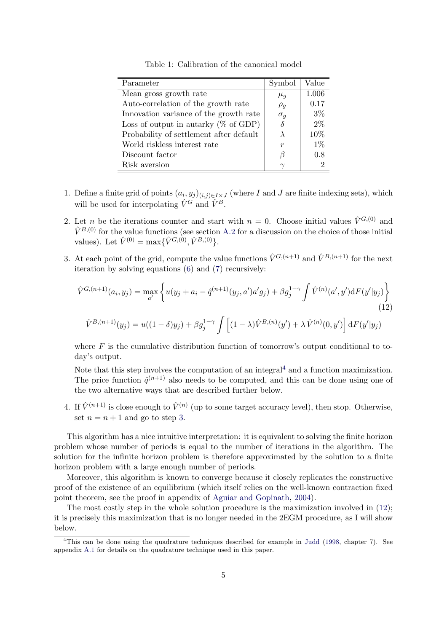| Parameter                               | Symbol     | Value |
|-----------------------------------------|------------|-------|
| Mean gross growth rate                  | $\mu_q$    | 1.006 |
| Auto-correlation of the growth rate     | $\rho_g$   | 0.17  |
| Innovation variance of the growth rate  | $\sigma_q$ | $3\%$ |
| Loss of output in autarky $(\%$ of GDP) | $\delta$   | $2\%$ |
| Probability of settlement after default | $\lambda$  | 10%   |
| World riskless interest rate            | r          | $1\%$ |
| Discount factor                         | В          | 0.8   |
| Risk aversion                           | $\sim$     |       |

<span id="page-5-0"></span>Table 1: Calibration of the canonical model

- 1. Define a finite grid of points  $(a_i, y_j)_{(i,j)\in I\times J}$  (where I and J are finite indexing sets), which will be used for interpolating  $\hat{V}^G$  and  $\hat{V}^B$ .
- 2. Let n be the iterations counter and start with  $n = 0$ . Choose initial values  $\hat{V}^{G,(0)}$  and  $\hat{V}^{B,(0)}$  for the value functions (see section [A.2](#page-18-0) for a discussion on the choice of those initial values). Let  $\hat{V}^{(0)} = \max{\{\hat{V}^{G,(0)}, \hat{V}^{B,(0)}\}}$ .
- <span id="page-5-2"></span>3. At each point of the grid, compute the value functions  $\hat{V}^{G,(n+1)}$  and  $\hat{V}^{B,(n+1)}$  for the next iteration by solving equations [\(6\)](#page-3-3) and [\(7\)](#page-3-4) recursively:

<span id="page-5-3"></span>
$$
\hat{V}^{G,(n+1)}(a_i, y_j) = \max_{a'} \left\{ u(y_j + a_i - \hat{q}^{(n+1)}(y_j, a')a'g_j) + \beta g_j^{1-\gamma} \int \hat{V}^{(n)}(a', y')dF(y'|y_j) \right\}
$$
\n(12)\n
$$
\hat{V}^{B,(n+1)}(y_j) = u((1-\delta)y_j) + \beta g_j^{1-\gamma} \int \left[ (1-\lambda)\hat{V}^{B,(n)}(y') + \lambda \hat{V}^{(n)}(0, y') \right] dF(y'|y_j)
$$

where  $F$  is the cumulative distribution function of tomorrow's output conditional to today's output.

Note that this step involves the computation of an integral<sup>[4](#page-5-1)</sup> and a function maximization. The price function  $\hat{q}^{(n+1)}$  also needs to be computed, and this can be done using one of the two alternative ways that are described further below.

<span id="page-5-4"></span>4. If  $\hat{V}^{(n+1)}$  is close enough to  $\hat{V}^{(n)}$  (up to some target accuracy level), then stop. Otherwise, set  $n = n + 1$  and go to step [3.](#page-5-2)

This algorithm has a nice intuitive interpretation: it is equivalent to solving the finite horizon problem whose number of periods is equal to the number of iterations in the algorithm. The solution for the infinite horizon problem is therefore approximated by the solution to a finite horizon problem with a large enough number of periods.

Moreover, this algorithm is known to converge because it closely replicates the constructive proof of the existence of an equilibrium (which itself relies on the well-known contraction fixed point theorem, see the proof in appendix of [Aguiar and Gopinath,](#page-16-4) [2004\)](#page-16-4).

The most costly step in the whole solution procedure is the maximization involved in [\(12\)](#page-5-3); it is precisely this maximization that is no longer needed in the 2EGM procedure, as I will show below.

<span id="page-5-1"></span><sup>4</sup>This can be done using the quadrature techniques described for example in [Judd](#page-17-6) [\(1998,](#page-17-6) chapter 7). See appendix [A.1](#page-18-1) for details on the quadrature technique used in this paper.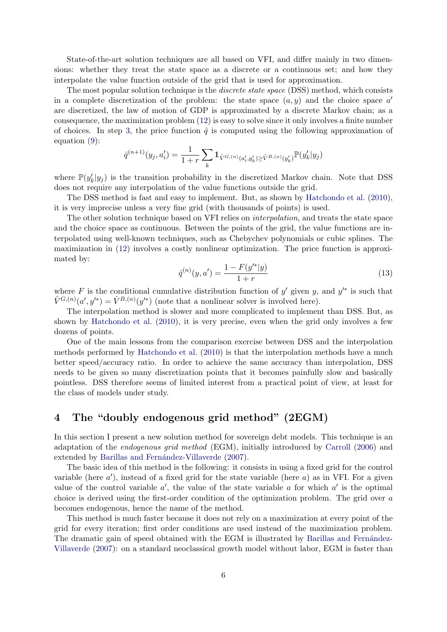State-of-the-art solution techniques are all based on VFI, and differ mainly in two dimensions: whether they treat the state space as a discrete or a continuous set; and how they interpolate the value function outside of the grid that is used for approximation.

The most popular solution technique is the *discrete state space* (DSS) method, which consists in a complete discretization of the problem: the state space  $(a, y)$  and the choice space  $a'$ are discretized, the law of motion of GDP is approximated by a discrete Markov chain; as a consequence, the maximization problem [\(12\)](#page-5-3) is easy to solve since it only involves a finite number of choices. In step [3,](#page-5-2) the price function  $\hat{q}$  is computed using the following approximation of equation [\(9\)](#page-3-2):

$$
\hat{q}^{(n+1)}(y_j, a'_i) = \frac{1}{1+r} \sum_{k} \mathbb{1}_{\hat{V}^{G,(n)}(a'_i, y'_k) \ge \hat{V}^{B,(n)}(y'_k) \mathbb{P}(y'_k|y_j)}
$$

where  $\mathbb{P}(y_k'|y_j)$  is the transition probability in the discretized Markov chain. Note that DSS does not require any interpolation of the value functions outside the grid.

The DSS method is fast and easy to implement. But, as shown by [Hatchondo et al.](#page-17-0) [\(2010\)](#page-17-0), it is very imprecise unless a very fine grid (with thousands of points) is used.

The other solution technique based on VFI relies on interpolation, and treats the state space and the choice space as continuous. Between the points of the grid, the value functions are interpolated using well-known techniques, such as Chebychev polynomials or cubic splines. The maximization in [\(12\)](#page-5-3) involves a costly nonlinear optimization. The price function is approximated by:

<span id="page-6-1"></span>
$$
\hat{q}^{(n)}(y, a') = \frac{1 - F(y'^{*}|y)}{1 + r}
$$
\n(13)

where F is the conditional cumulative distribution function of y' given y, and  $y'^*$  is such that  $\hat{V}^{G,(n)}(a', y'^*) = \hat{V}^{B,(n)}(y'^*)$  (note that a nonlinear solver is involved here).

The interpolation method is slower and more complicated to implement than DSS. But, as shown by [Hatchondo et al.](#page-17-0) [\(2010\)](#page-17-0), it is very precise, even when the grid only involves a few dozens of points.

One of the main lessons from the comparison exercise between DSS and the interpolation methods performed by [Hatchondo et al.](#page-17-0) [\(2010\)](#page-17-0) is that the interpolation methods have a much better speed/accuracy ratio. In order to achieve the same accuracy than interpolation, DSS needs to be given so many discretization points that it becomes painfully slow and basically pointless. DSS therefore seems of limited interest from a practical point of view, at least for the class of models under study.

# <span id="page-6-0"></span>4 The "doubly endogenous grid method" (2EGM)

In this section I present a new solution method for sovereign debt models. This technique is an adaptation of the endogenous grid method (EGM), initially introduced by [Carroll](#page-17-1) [\(2006\)](#page-17-1) and extended by Barillas and Fernández-Villaverde [\(2007\)](#page-16-1).

The basic idea of this method is the following: it consists in using a fixed grid for the control variable (here  $a'$ ), instead of a fixed grid for the state variable (here  $a$ ) as in VFI. For a given value of the control variable  $a'$ , the value of the state variable  $a$  for which  $a'$  is the optimal choice is derived using the first-order condition of the optimization problem. The grid over a becomes endogenous, hence the name of the method.

This method is much faster because it does not rely on a maximization at every point of the grid for every iteration; first order conditions are used instead of the maximization problem. The dramatic gain of speed obtained with the EGM is illustrated by Barillas and Fernández-[Villaverde](#page-16-1) [\(2007\)](#page-16-1): on a standard neoclassical growth model without labor, EGM is faster than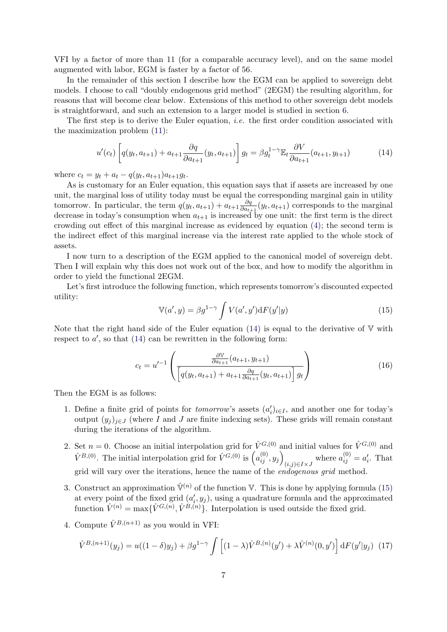VFI by a factor of more than 11 (for a comparable accuracy level), and on the same model augmented with labor, EGM is faster by a factor of 56.

In the remainder of this section I describe how the EGM can be applied to sovereign debt models. I choose to call "doubly endogenous grid method" (2EGM) the resulting algorithm, for reasons that will become clear below. Extensions of this method to other sovereign debt models is straightforward, and such an extension to a larger model is studied in section [6.](#page-14-0)

The first step is to derive the Euler equation, *i.e.* the first order condition associated with the maximization problem [\(11\)](#page-4-3):

<span id="page-7-0"></span>
$$
u'(c_t) \left[ q(y_t, a_{t+1}) + a_{t+1} \frac{\partial q}{\partial a_{t+1}} (y_t, a_{t+1}) \right] g_t = \beta g_t^{1-\gamma} \mathbb{E}_t \frac{\partial V}{\partial a_{t+1}} (a_{t+1}, y_{t+1}) \tag{14}
$$

where  $c_t = y_t + a_t - q(y_t, a_{t+1})a_{t+1}g_t$ .

As is customary for an Euler equation, this equation says that if assets are increased by one unit, the marginal loss of utility today must be equal the corresponding marginal gain in utility tomorrow. In particular, the term  $q(y_t, a_{t+1}) + a_{t+1} \frac{\partial q}{\partial a_t}$  $\frac{\partial q}{\partial a_{t+1}}(y_t, a_{t+1})$  corresponds to the marginal decrease in today's consumption when  $a_{t+1}$  is increased by one unit: the first term is the direct crowding out effect of this marginal increase as evidenced by equation [\(4\)](#page-3-5); the second term is the indirect effect of this marginal increase via the interest rate applied to the whole stock of assets.

I now turn to a description of the EGM applied to the canonical model of sovereign debt. Then I will explain why this does not work out of the box, and how to modify the algorithm in order to yield the functional 2EGM.

Let's first introduce the following function, which represents tomorrow's discounted expected utility:

<span id="page-7-1"></span>
$$
\mathbb{V}(a', y) = \beta g^{1-\gamma} \int V(a', y') dF(y'|y)
$$
\n(15)

Note that the right hand side of the Euler equation  $(14)$  is equal to the derivative of V with respect to  $a'$ , so that  $(14)$  can be rewritten in the following form:

<span id="page-7-2"></span>
$$
c_{t} = u'^{-1} \left( \frac{\frac{\partial \mathbb{V}}{\partial a_{t+1}} (a_{t+1}, y_{t+1})}{\left[ q(y_t, a_{t+1}) + a_{t+1} \frac{\partial q}{\partial a_{t+1}} (y_t, a_{t+1}) \right] g_t} \right) \tag{16}
$$

<span id="page-7-4"></span>Then the EGM is as follows:

- 1. Define a finite grid of points for *tomorrow*'s assets  $(a'_i)_{i\in I}$ , and another one for today's output  $(y_j)_{j\in J}$  (where I and J are finite indexing sets). These grids will remain constant during the iterations of the algorithm.
- 2. Set  $n = 0$ . Choose an initial interpolation grid for  $\hat{V}^{G,(0)}$  and initial values for  $\hat{V}^{G,(0)}$  and  $\hat{V}^{B,(0)}$ . The initial interpolation grid for  $\hat{V}^{G,(0)}$  is  $\left( a_{ij}^{(0)}, y_j \right)$  $(i,j)\in I\times J$  where  $a_{ij}^{(0)}=a_i'$ . That grid will vary over the iterations, hence the name of the *endogenous grid* method.
- <span id="page-7-3"></span>3. Construct an approximation  $\hat{V}^{(n)}$  of the function V. This is done by applying formula [\(15\)](#page-7-1) at every point of the fixed grid  $(a'_i, y_j)$ , using a quadrature formula and the approximated function  $\hat{V}^{(n)} = \max{\{\hat{V}^{G,(n)}, \hat{V}^{B,(n)}\}}$ . Interpolation is used outside the fixed grid.
- 4. Compute  $\hat{V}^{B,(n+1)}$  as you would in VFI:

<span id="page-7-5"></span>
$$
\hat{V}^{B,(n+1)}(y_j) = u((1-\delta)y_j) + \beta g^{1-\gamma} \int \left[ (1-\lambda)\hat{V}^{B,(n)}(y') + \lambda \hat{V}^{(n)}(0,y') \right] dF(y'|y_j) \tag{17}
$$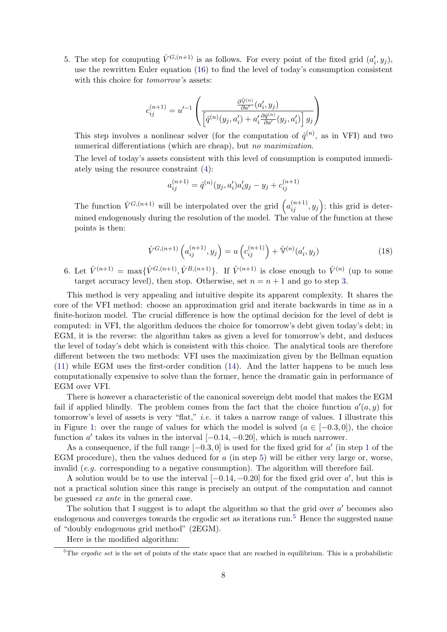<span id="page-8-0"></span>5. The step for computing  $\hat{V}^{G,(n+1)}$  is as follows. For every point of the fixed grid  $(a'_i, y_j)$ , use the rewritten Euler equation [\(16\)](#page-7-2) to find the level of today's consumption consistent with this choice for *tomorrow's* assets:

$$
c_{ij}^{(n+1)}=u'^{-1}\left(\frac{\frac{\partial \hat{\mathbb{V}}^{(n)}}{\partial a'}(a_i',y_j)}{\left[\hat{q}^{(n)}(y_j,a_i')+a_i'\frac{\partial \hat{q}^{(n)}}{\partial a'}(y_j,a_i')\right]g_j}\right)
$$

This step involves a nonlinear solver (for the computation of  $\hat{q}^{(n)}$ , as in VFI) and two numerical differentiations (which are cheap), but no maximization.

The level of today's assets consistent with this level of consumption is computed immediately using the resource constraint [\(4\)](#page-3-5):

$$
a_{ij}^{(n+1)} = \hat{q}^{(n)}(y_j, a_i')a_i'g_j - y_j + c_{ij}^{(n+1)}
$$

The function  $\hat{V}^{G,(n+1)}$  will be interpolated over the grid  $\left(a_{ij}^{(n+1)}, y_j\right)$ ; this grid is determined endogenously during the resolution of the model. The value of the function at these points is then:

<span id="page-8-2"></span>
$$
\hat{V}^{G,(n+1)}\left(a_{ij}^{(n+1)}, y_j\right) = u\left(c_{ij}^{(n+1)}\right) + \hat{\mathbb{V}}^{(n)}(a_i', y_j) \tag{18}
$$

6. Let  $\hat{V}^{(n+1)} = \max{\{\hat{V}^{G,(n+1)}, \hat{V}^{B,(n+1)}\}}$ . If  $\hat{V}^{(n+1)}$  is close enough to  $\hat{V}^{(n)}$  (up to some target accuracy level), then stop. Otherwise, set  $n = n + 1$  and go to step [3.](#page-7-3)

This method is very appealing and intuitive despite its apparent complexity. It shares the core of the VFI method: choose an approximation grid and iterate backwards in time as in a finite-horizon model. The crucial difference is how the optimal decision for the level of debt is computed: in VFI, the algorithm deduces the choice for tomorrow's debt given today's debt; in EGM, it is the reverse: the algorithm takes as given a level for tomorrow's debt, and deduces the level of today's debt which is consistent with this choice. The analytical tools are therefore different between the two methods: VFI uses the maximization given by the Bellman equation [\(11\)](#page-4-3) while EGM uses the first-order condition [\(14\)](#page-7-0). And the latter happens to be much less computationally expensive to solve than the former, hence the dramatic gain in performance of EGM over VFI.

There is however a characteristic of the canonical sovereign debt model that makes the EGM fail if applied blindly. The problem comes from the fact that the choice function  $a'(a, y)$  for tomorrow's level of assets is very "flat," i.e. it takes a narrow range of values. I illustrate this in Figure [1:](#page-9-0) over the range of values for which the model is solved  $(a \in [-0.3, 0])$ , the choice function  $a'$  takes its values in the interval  $[-0.14, -0.20]$ , which is much narrower.

As a consequence, if the full range  $[-0.3, 0]$  is used for the fixed grid for a' (in step [1](#page-7-4) of the EGM procedure), then the values deduced for  $a$  (in step [5\)](#page-8-0) will be either very large or, worse, invalid  $(e,q)$  corresponding to a negative consumption). The algorithm will therefore fail.

A solution would be to use the interval  $[-0.14, -0.20]$  for the fixed grid over a', but this is not a practical solution since this range is precisely an output of the computation and cannot be guessed ex ante in the general case.

The solution that I suggest is to adapt the algorithm so that the grid over  $a'$  becomes also endogenous and converges towards the ergodic set as iterations run.<sup>[5](#page-8-1)</sup> Hence the suggested name of "doubly endogenous grid method" (2EGM).

Here is the modified algorithm:

<span id="page-8-1"></span> $5$ The *ergodic set* is the set of points of the state space that are reached in equilibrium. This is a probabilistic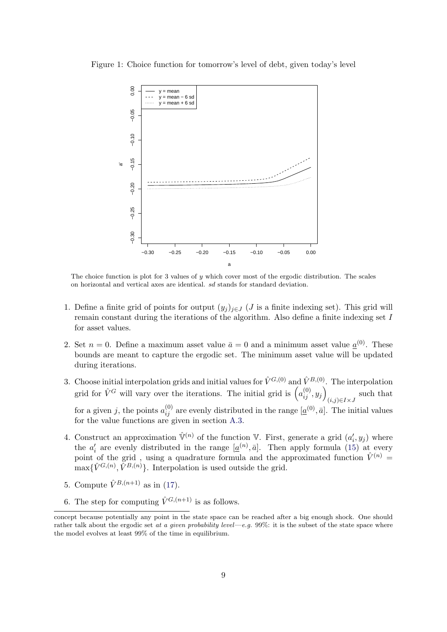Figure 1: Choice function for tomorrow's level of debt, given today's level

<span id="page-9-0"></span>

The choice function is plot for 3 values of  $\eta$  which cover most of the ergodic distribution. The scales on horizontal and vertical axes are identical. sd stands for standard deviation.

- 1. Define a finite grid of points for output  $(y_i)_{i\in J}$  (*J* is a finite indexing set). This grid will remain constant during the iterations of the algorithm. Also define a finite indexing set I for asset values.
- 2. Set  $n = 0$ . Define a maximum asset value  $\bar{a} = 0$  and a minimum asset value  $\underline{a}^{(0)}$ . These bounds are meant to capture the ergodic set. The minimum asset value will be updated during iterations.
- 3. Choose initial interpolation grids and initial values for  $\hat{V}^{G,(0)}$  and  $\hat{V}^{B,(0)}$ . The interpolation grid for  $\hat{V}^G$  will vary over the iterations. The initial grid is  $\left( a_{ij}^{(0)}, y_j \right)$  $(i,j) \in I \times J$ such that for a given j, the points  $a_{ij}^{(0)}$  are evenly distributed in the range  $[\underline{a}^{(0)}, \bar{a}]$ . The initial values for the value functions are given in section [A.3.](#page-19-0)
- <span id="page-9-1"></span>4. Construct an approximation  $\hat{V}^{(n)}$  of the function V. First, generate a grid  $(a'_i, y_j)$  where the  $a'_i$  are evenly distributed in the range  $[\underline{a}^{(n)}, \overline{a}]$ . Then apply formula [\(15\)](#page-7-1) at every point of the grid, using a quadrature formula and the approximated function  $\hat{V}^{(n)}$  =  $\max\{\hat{V}^{G,(n)}, \hat{V}^{B,(n)}\}.$  Interpolation is used outside the grid.
- 5. Compute  $\hat{V}^{B,(n+1)}$  as in [\(17\)](#page-7-5).
- <span id="page-9-2"></span>6. The step for computing  $\hat{V}^{G,(n+1)}$  is as follows.

concept because potentially any point in the state space can be reached after a big enough shock. One should rather talk about the ergodic set at a given probability level—e.g. 99%: it is the subset of the state space where the model evolves at least 99% of the time in equilibrium.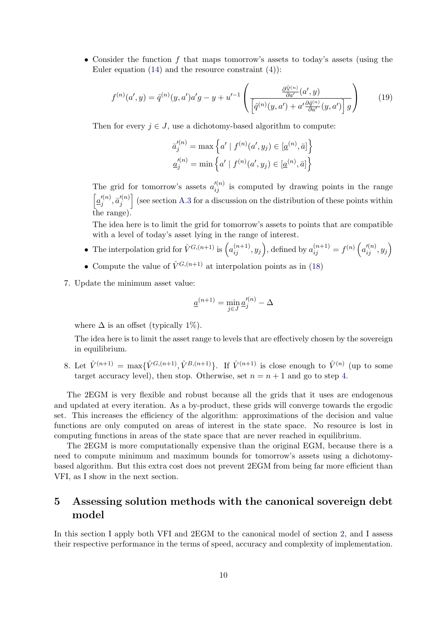• Consider the function  $f$  that maps tomorrow's assets to today's assets (using the Euler equation  $(14)$  and the resource constraint  $(4)$ :

<span id="page-10-1"></span>
$$
f^{(n)}(a', y) = \hat{q}^{(n)}(y, a')a'g - y + u'^{-1}\left(\frac{\frac{\partial \hat{\mathbb{V}}^{(n)}}{\partial a'}(a', y)}{\left[\hat{q}^{(n)}(y, a') + a'\frac{\partial \hat{q}^{(n)}}{\partial a'}(y, a')\right]g}\right)
$$
(19)

Then for every  $j \in J$ , use a dichotomy-based algorithm to compute:

$$
\bar{a}'^{(n)}_{j} = \max \left\{ a' \mid f^{(n)}(a', y_j) \in [\underline{a}^{(n)}, \overline{a}] \right\}
$$

$$
\underline{a}'^{(n)}_{j} = \min \left\{ a' \mid f^{(n)}(a', y_j) \in [\underline{a}^{(n)}, \overline{a}] \right\}
$$

The grid for tomorrow's assets  $a_{ij}^{\prime (n)}$  is computed by drawing points in the range  $\left[ \underline{a}_{i}^{\prime (n)}\right]$  $j^{(n)},\bar a'^{(n)}_j$  $\binom{n}{j}$  (see section [A.3](#page-19-0) for a discussion on the distribution of these points within the range).

The idea here is to limit the grid for tomorrow's assets to points that are compatible with a level of today's asset lying in the range of interest.

- The interpolation grid for  $\hat{V}^{G,(n+1)}$  is  $\left(a_{ij}^{(n+1)}, y_j\right)$ , defined by  $a_{ij}^{(n+1)} = f^{(n)}\left(a_{ij}^{\prime(n)}, y_j\right)$
- Compute the value of  $\hat{V}^{G,(n+1)}$  at interpolation points as in [\(18\)](#page-8-2)
- 7. Update the minimum asset value:

$$
\underline{a}^{(n+1)} = \min_{j \in J} \underline{a}'^{(n)}_j - \Delta
$$

where  $\Delta$  is an offset (typically 1%).

The idea here is to limit the asset range to levels that are effectively chosen by the sovereign in equilibrium.

8. Let  $\hat{V}^{(n+1)} = \max{\{\hat{V}^{G,(n+1)}, \hat{V}^{B,(n+1)}\}}$ . If  $\hat{V}^{(n+1)}$  is close enough to  $\hat{V}^{(n)}$  (up to some target accuracy level), then stop. Otherwise, set  $n = n + 1$  and go to step [4.](#page-9-1)

The 2EGM is very flexible and robust because all the grids that it uses are endogenous and updated at every iteration. As a by-product, these grids will converge towards the ergodic set. This increases the efficiency of the algorithm: approximations of the decision and value functions are only computed on areas of interest in the state space. No resource is lost in computing functions in areas of the state space that are never reached in equilibrium.

The 2EGM is more computationally expensive than the original EGM, because there is a need to compute minimum and maximum bounds for tomorrow's assets using a dichotomybased algorithm. But this extra cost does not prevent 2EGM from being far more efficient than VFI, as I show in the next section.

# <span id="page-10-0"></span>5 Assessing solution methods with the canonical sovereign debt model

In this section I apply both VFI and 2EGM to the canonical model of section [2,](#page-2-0) and I assess their respective performance in the terms of speed, accuracy and complexity of implementation.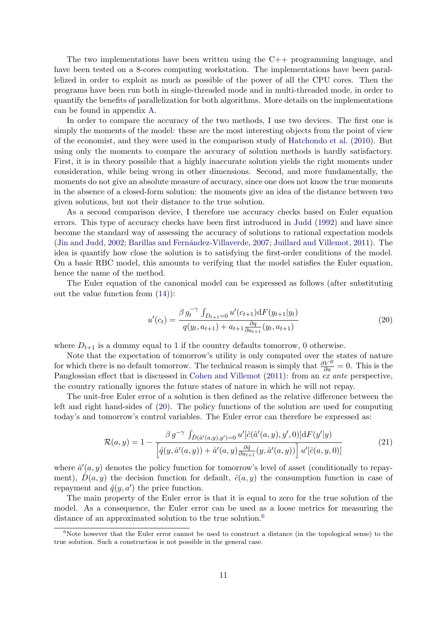The two implementations have been written using the C++ programming language, and have been tested on a 8-cores computing workstation. The implementations have been parallelized in order to exploit as much as possible of the power of all the CPU cores. Then the programs have been run both in single-threaded mode and in multi-threaded mode, in order to quantify the benefits of parallelization for both algorithms. More details on the implementations can be found in appendix [A.](#page-17-3)

In order to compare the accuracy of the two methods, I use two devices. The first one is simply the moments of the model: these are the most interesting objects from the point of view of the economist, and they were used in the comparison study of [Hatchondo et al.](#page-17-0) [\(2010\)](#page-17-0). But using only the moments to compare the accuracy of solution methods is hardly satisfactory. First, it is in theory possible that a highly inaccurate solution yields the right moments under consideration, while being wrong in other dimensions. Second, and more fundamentally, the moments do not give an absolute measure of accuracy, since one does not know the true moments in the absence of a closed-form solution: the moments give an idea of the distance between two given solutions, but not their distance to the true solution.

As a second comparison device, I therefore use accuracy checks based on Euler equation errors. This type of accuracy checks have been first introduced in [Judd](#page-17-7) [\(1992\)](#page-17-7) and have since become the standard way of assessing the accuracy of solutions to rational expectation models [\(Jin and Judd,](#page-17-8) [2002;](#page-17-8) Barillas and Fernández-Villaverde, [2007;](#page-16-1) [Juillard and Villemot,](#page-17-9) [2011\)](#page-17-9). The idea is quantify how close the solution is to satisfying the first-order conditions of the model. On a basic RBC model, this amounts to verifying that the model satisfies the Euler equation, hence the name of the method.

The Euler equation of the canonical model can be expressed as follows (after substituting out the value function from [\(14\)](#page-7-0)):

<span id="page-11-0"></span>
$$
u'(c_t) = \frac{\beta g_t^{-\gamma} \int_{D_{t+1}=0} u'(c_{t+1}) dF(y_{t+1}|y_t)}{q(y_t, a_{t+1}) + a_{t+1} \frac{\partial q}{\partial a_{t+1}}(y_t, a_{t+1})}
$$
(20)

where  $D_{t+1}$  is a dummy equal to 1 if the country defaults tomorrow, 0 otherwise.

Note that the expectation of tomorrow's utility is only computed over the states of nature for which there is no default tomorrow. The technical reason is simply that  $\frac{\partial V^B}{\partial a} = 0$ . This is the Panglossian effect that is discussed in [Cohen and Villemot](#page-17-10) [\(2011\)](#page-17-10): from an ex ante perspective, the country rationally ignores the future states of nature in which he will not repay.

The unit-free Euler error of a solution is then defined as the relative difference between the left and right hand-sides of [\(20\)](#page-11-0). The policy functions of the solution are used for computing today's and tomorrow's control variables. The Euler error can therefore be expressed as:

<span id="page-11-2"></span>
$$
\mathcal{R}(a,y) = 1 - \frac{\beta g^{-\gamma} \int_{\hat{D}(\hat{a}'(a,y),y')=0} u'[\hat{c}(\hat{a}'(a,y),y',0)] \mathrm{d}F(y'|y)}{\left[\hat{q}(y,\hat{a}'(a,y)) + \hat{a}'(a,y)\frac{\partial \hat{q}}{\partial a_{t+1}}(y,\hat{a}'(a,y))\right] u'[\hat{c}(a,y,0)]}
$$
(21)

where  $\hat{a}'(a, y)$  denotes the policy function for tomorrow's level of asset (conditionally to repayment),  $D(a, y)$  the decision function for default,  $\hat{c}(a, y)$  the consumption function in case of repayment and  $\hat{q}(y, a')$  the price function.

The main property of the Euler error is that it is equal to zero for the true solution of the model. As a consequence, the Euler error can be used as a loose metrics for measuring the distance of an approximated solution to the true solution.<sup>[6](#page-11-1)</sup>

<span id="page-11-1"></span> $6N$ ote however that the Euler error cannot be used to construct a distance (in the topological sense) to the true solution. Such a construction is not possible in the general case.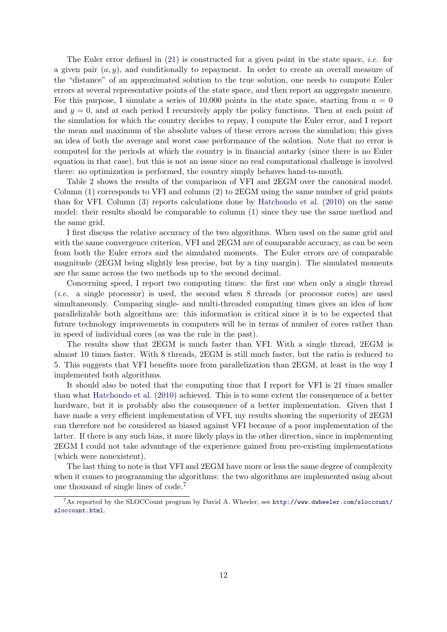The Euler error defined in  $(21)$  is constructed for a given point in the state space, *i.e.* for a given pair  $(a, y)$ , and conditionally to repayment. In order to create an overall measure of the "distance" of an approximated solution to the true solution, one needs to compute Euler errors at several representative points of the state space, and then report an aggregate measure. For this purpose, I simulate a series of 10,000 points in the state space, starting from  $a = 0$ and  $y = 0$ , and at each period I recursively apply the policy functions. Then at each point of the simulation for which the country decides to repay, I compute the Euler error, and I report the mean and maximum of the absolute values of these errors across the simulation; this gives an idea of both the average and worst case performance of the solution. Note that no error is computed for the periods at which the country is in financial autarky (since there is no Euler equation in that case), but this is not an issue since no real computational challenge is involved there: no optimization is performed, the country simply behaves hand-to-mouth.

Table [2](#page-13-0) shows the results of the comparison of VFI and 2EGM over the canonical model. Column (1) corresponds to VFI and column (2) to 2EGM using the same number of grid points than for VFI. Column (3) reports calculations done by [Hatchondo et al.](#page-17-0) [\(2010\)](#page-17-0) on the same model: their results should be comparable to column (1) since they use the same method and the same grid.

I first discuss the relative accuracy of the two algorithms. When used on the same grid and with the same convergence criterion, VFI and 2EGM are of comparable accuracy, as can be seen from both the Euler errors and the simulated moments. The Euler errors are of comparable magnitude (2EGM being slightly less precise, but by a tiny margin). The simulated moments are the same across the two methods up to the second decimal.

Concerning speed, I report two computing times: the first one when only a single thread (i.e. a single processor) is used, the second when 8 threads (or processor cores) are used simultaneously. Comparing single- and multi-threaded computing times gives an idea of how parallelizable both algorithms are: this information is critical since it is to be expected that future technology improvements in computers will be in terms of number of cores rather than in speed of individual cores (as was the rule in the past).

The results show that 2EGM is much faster than VFI. With a single thread, 2EGM is almost 10 times faster. With 8 threads, 2EGM is still much faster, but the ratio is reduced to 5. This suggests that VFI benefits more from parallelization than 2EGM, at least in the way I implemented both algorithms.

It should also be noted that the computing time that I report for VFI is 21 times smaller than what [Hatchondo et al.](#page-17-0) [\(2010\)](#page-17-0) achieved. This is to some extent the consequence of a better hardware, but it is probably also the consequence of a better implementation. Given that I have made a very efficient implementation of VFI, my results showing the superiority of 2EGM can therefore not be considered as biased against VFI because of a poor implementation of the latter. If there is any such bias, it more likely plays in the other direction, since in implementing 2EGM I could not take advantage of the experience gained from pre-existing implementations (which were nonexistent).

The last thing to note is that VFI and 2EGM have more or less the same degree of complexity when it comes to programming the algorithms: the two algorithms are implemented using about one thousand of single lines of code.[7](#page-12-0)

<span id="page-12-0"></span><sup>7</sup>As reported by the SLOCCount program by David A. Wheeler, see [http://www.dwheeler.com/sloccount/](http://www.dwheeler.com/sloccount/sloccount.html) [sloccount.html](http://www.dwheeler.com/sloccount/sloccount.html).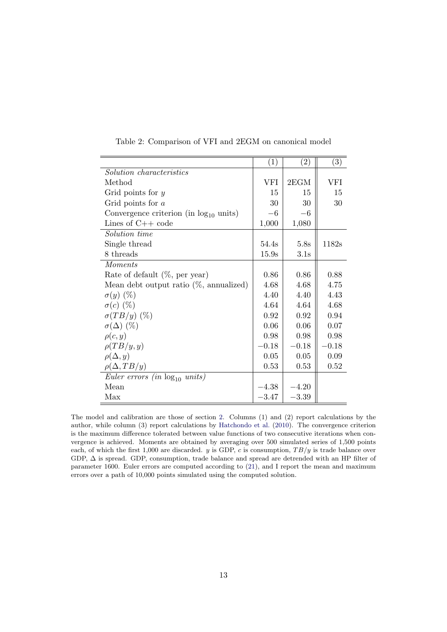|                                                      | (1)     | $\left( 2\right)$ | $\left( 3\right)$ |
|------------------------------------------------------|---------|-------------------|-------------------|
| Solution characteristics                             |         |                   |                   |
| Method                                               | VFI     | 2EGM              | VFI               |
| Grid points for $y$                                  | 15      | 15                | 15                |
| Grid points for $a$                                  | 30      | 30                | 30                |
| Convergence criterion (in $log_{10}$ units)          | $-6$    | $-6$              |                   |
| Lines of $C++$ code                                  | 1,000   | 1,080             |                   |
| Solution time                                        |         |                   |                   |
| Single thread                                        | 54.4s   | 5.8s              | 1182s             |
| 8 threads                                            | 15.9s   | 3.1s              |                   |
| Moments                                              |         |                   |                   |
| Rate of default $(\%$ , per year)                    | 0.86    | 0.86              | 0.88              |
| Mean debt output ratio $(\%$ , annualized)           | 4.68    | 4.68              | 4.75              |
| $\sigma(y)$ (%)                                      | 4.40    | 4.40              | 4.43              |
| $\sigma(c)$ (%)                                      | 4.64    | 4.64              | 4.68              |
| $\sigma(TB/y)$ (%)                                   | 0.92    | 0.92              | 0.94              |
| $\sigma(\Delta)$ (%)                                 | 0.06    | 0.06              | 0.07              |
| $\rho(c, y)$                                         | 0.98    | 0.98              | 0.98              |
| $\rho(TB/y, y)$                                      | $-0.18$ | $-0.18$           | $-0.18$           |
| $\rho(\Delta, y)$                                    | 0.05    | 0.05              | 0.09              |
| $\rho(\Delta, TB/y)$                                 | 0.53    | 0.53              | 0.52              |
| <i>Euler errors (in <math>log_{10}</math> units)</i> |         |                   |                   |
| Mean                                                 | $-4.38$ | $-4.20$           |                   |
| Max                                                  | $-3.47$ | $-3.39$           |                   |

<span id="page-13-0"></span>Table 2: Comparison of VFI and 2EGM on canonical model

The model and calibration are those of section [2.](#page-2-0) Columns (1) and (2) report calculations by the author, while column (3) report calculations by [Hatchondo et al.](#page-17-0) [\(2010\)](#page-17-0). The convergence criterion is the maximum difference tolerated between value functions of two consecutive iterations when convergence is achieved. Moments are obtained by averaging over 500 simulated series of 1,500 points each, of which the first 1,000 are discarded. y is GDP, c is consumption,  $TB/y$  is trade balance over GDP, ∆ is spread. GDP, consumption, trade balance and spread are detrended with an HP filter of parameter 1600. Euler errors are computed according to [\(21\)](#page-11-2), and I report the mean and maximum errors over a path of 10,000 points simulated using the computed solution.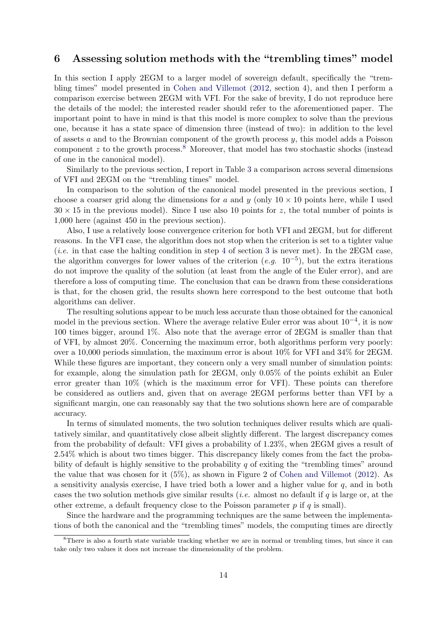## <span id="page-14-0"></span>6 Assessing solution methods with the "trembling times" model

In this section I apply 2EGM to a larger model of sovereign default, specifically the "trembling times" model presented in [Cohen and Villemot](#page-17-11) [\(2012,](#page-17-11) section 4), and then I perform a comparison exercise between 2EGM with VFI. For the sake of brevity, I do not reproduce here the details of the model; the interested reader should refer to the aforementioned paper. The important point to have in mind is that this model is more complex to solve than the previous one, because it has a state space of dimension three (instead of two): in addition to the level of assets  $a$  and to the Brownian component of the growth process  $y$ , this model adds a Poisson component z to the growth process.<sup>[8](#page-14-1)</sup> Moreover, that model has two stochastic shocks (instead of one in the canonical model).

Similarly to the previous section, I report in Table [3](#page-15-0) a comparison across several dimensions of VFI and 2EGM on the "trembling times" model.

In comparison to the solution of the canonical model presented in the previous section, I choose a coarser grid along the dimensions for a and y (only  $10 \times 10$  points here, while I used  $30 \times 15$  in the previous model). Since I use also 10 points for z, the total number of points is 1,000 here (against 450 in the previous section).

Also, I use a relatively loose convergence criterion for both VFI and 2EGM, but for different reasons. In the VFI case, the algorithm does not stop when the criterion is set to a tighter value (*i.e.* in that case the halting condition in step [4](#page-5-4) of section [3](#page-4-0) is never met). In the  $2EGM$  case, the algorithm converges for lower values of the criterion  $(e.g. 10^{-5})$ , but the extra iterations do not improve the quality of the solution (at least from the angle of the Euler error), and are therefore a loss of computing time. The conclusion that can be drawn from these considerations is that, for the chosen grid, the results shown here correspond to the best outcome that both algorithms can deliver.

The resulting solutions appear to be much less accurate than those obtained for the canonical model in the previous section. Where the average relative Euler error was about  $10^{-4}$ , it is now 100 times bigger, around 1%. Also note that the average error of 2EGM is smaller than that of VFI, by almost 20%. Concerning the maximum error, both algorithms perform very poorly: over a 10,000 periods simulation, the maximum error is about 10% for VFI and 34% for 2EGM. While these figures are important, they concern only a very small number of simulation points: for example, along the simulation path for 2EGM, only 0.05% of the points exhibit an Euler error greater than 10% (which is the maximum error for VFI). These points can therefore be considered as outliers and, given that on average 2EGM performs better than VFI by a significant margin, one can reasonably say that the two solutions shown here are of comparable accuracy.

In terms of simulated moments, the two solution techniques deliver results which are qualitatively similar, and quantitatively close albeit slightly different. The largest discrepancy comes from the probability of default: VFI gives a probability of 1.23%, when 2EGM gives a result of 2.54% which is about two times bigger. This discrepancy likely comes from the fact the probability of default is highly sensitive to the probability  $q$  of exiting the "trembling times" around the value that was chosen for it (5%), as shown in Figure 2 of [Cohen and Villemot](#page-17-11) [\(2012\)](#page-17-11). As a sensitivity analysis exercise, I have tried both a lower and a higher value for  $q$ , and in both cases the two solution methods give similar results (*i.e.* almost no default if q is large or, at the other extreme, a default frequency close to the Poisson parameter  $p$  if  $q$  is small).

Since the hardware and the programming techniques are the same between the implementations of both the canonical and the "trembling times" models, the computing times are directly

<span id="page-14-1"></span><sup>8</sup>There is also a fourth state variable tracking whether we are in normal or trembling times, but since it can take only two values it does not increase the dimensionality of the problem.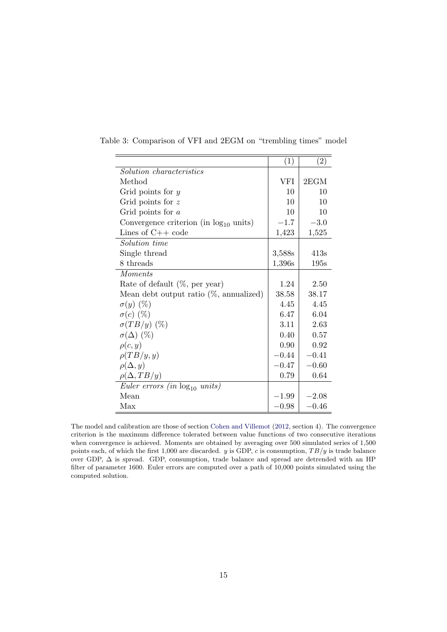<span id="page-15-0"></span>

|                                             | (1)     | (2)     |
|---------------------------------------------|---------|---------|
| Solution characteristics                    |         |         |
| Method                                      | VFI     | 2EGM    |
| Grid points for $y$                         | 10      | 10      |
| Grid points for $z$                         | 10      | 10      |
| Grid points for $a$                         | 10      | 10      |
| Convergence criterion (in $log_{10}$ units) | $-1.7$  | $-3.0$  |
| Lines of $C++$ code                         | 1,423   | 1,525   |
| <i>Solution time</i>                        |         |         |
| Single thread                               | 3,588s  | 413s    |
| 8 threads                                   | 1,396s  | 195s    |
| <b>Moments</b>                              |         |         |
| Rate of default $(\%$ , per year)           | 1.24    | 2.50    |
| Mean debt output ratio $(\%$ , annualized)  | 38.58   | 38.17   |
| $\sigma(y)$ (%)                             | 4.45    | 4.45    |
| $\sigma(c)$ (%)                             | 6.47    | 6.04    |
| $\sigma(TB/y)$ (%)                          | 3.11    | 2.63    |
| $\sigma(\Delta)$ (%)                        | 0.40    | 0.57    |
| $\rho(c,y)$                                 | 0.90    | 0.92    |
| $\rho(TB/y, y)$                             | $-0.44$ | $-0.41$ |
| $\rho(\Delta, y)$                           | $-0.47$ | $-0.60$ |
| $\rho(\Delta, TB/y)$                        | 0.79    | 0.64    |
| Euler errors (in $log_{10}$ units)          |         |         |
| Mean                                        | $-1.99$ | $-2.08$ |
| Max                                         | $-0.98$ | $-0.46$ |

Table 3: Comparison of VFI and 2EGM on "trembling times" model

The model and calibration are those of section [Cohen and Villemot](#page-17-11) [\(2012,](#page-17-11) section 4). The convergence criterion is the maximum difference tolerated between value functions of two consecutive iterations when convergence is achieved. Moments are obtained by averaging over 500 simulated series of 1,500 points each, of which the first 1,000 are discarded.  $y$  is GDP, c is consumption,  $TB/y$  is trade balance over GDP, ∆ is spread. GDP, consumption, trade balance and spread are detrended with an HP filter of parameter 1600. Euler errors are computed over a path of 10,000 points simulated using the computed solution.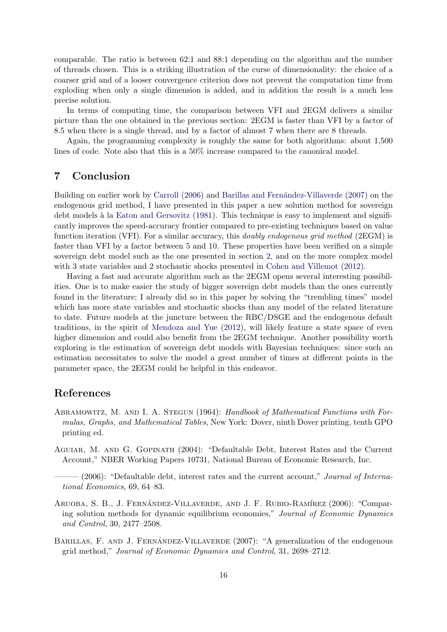comparable. The ratio is between 62:1 and 88:1 depending on the algorithm and the number of threads chosen. This is a striking illustration of the curse of dimensionality: the choice of a coarser grid and of a looser convergence criterion does not prevent the computation time from exploding when only a single dimension is added, and in addition the result is a much less precise solution.

In terms of computing time, the comparison between VFI and 2EGM delivers a similar picture than the one obtained in the previous section: 2EGM is faster than VFI by a factor of 8.5 when there is a single thread, and by a factor of almost 7 when there are 8 threads.

Again, the programming complexity is roughly the same for both algorithms: about 1,500 lines of code. Note also that this is a 50% increase compared to the canonical model.

## <span id="page-16-2"></span>7 Conclusion

Building on earlier work by [Carroll](#page-17-1) [\(2006\)](#page-17-1) and Barillas and Fernández-Villaverde [\(2007\)](#page-16-1) on the endogenous grid method, I have presented in this paper a new solution method for sovereign debt models à la [Eaton and Gersovitz](#page-17-4) [\(1981\)](#page-17-4). This technique is easy to implement and significantly improves the speed-accuracy frontier compared to pre-existing techniques based on value function iteration (VFI). For a similar accuracy, this *doubly endogenous grid method* (2EGM) is faster than VFI by a factor between 5 and 10. These properties have been verified on a simple sovereign debt model such as the one presented in section [2,](#page-2-0) and on the more complex model with 3 state variables and 2 stochastic shocks presented in [Cohen and Villemot](#page-17-11) [\(2012\)](#page-17-11).

Having a fast and accurate algorithm such as the 2EGM opens several interesting possibilities. One is to make easier the study of bigger sovereign debt models than the ones currently found in the literature; I already did so in this paper by solving the "trembling times" model which has more state variables and stochastic shocks than any model of the related literature to date. Future models at the juncture between the RBC/DSGE and the endogenous default traditions, in the spirit of [Mendoza and Yue](#page-17-12) [\(2012\)](#page-17-12), will likely feature a state space of even higher dimension and could also benefit from the 2EGM technique. Another possibility worth exploring is the estimation of sovereign debt models with Bayesian techniques: since such an estimation necessitates to solve the model a great number of times at different points in the parameter space, the 2EGM could be helpful in this endeavor.

## References

- <span id="page-16-5"></span>ABRAMOWITZ, M. AND I. A. STEGUN (1964): Handbook of Mathematical Functions with Formulas, Graphs, and Mathematical Tables, New York: Dover, ninth Dover printing, tenth GPO printing ed.
- <span id="page-16-4"></span>Aguiar, M. and G. Gopinath (2004): "Defaultable Debt, Interest Rates and the Current Account," NBER Working Papers 10731, National Bureau of Economic Research, Inc.
- <span id="page-16-3"></span> $(2006)$ : "Defaultable debt, interest rates and the current account," Journal of International Economics, 69, 64–83.
- <span id="page-16-0"></span>ARUOBA, S. B., J. FERNÁNDEZ-VILLAVERDE, AND J. F. RUBIO-RAMÍREZ (2006): "Comparing solution methods for dynamic equilibrium economies," Journal of Economic Dynamics and Control, 30, 2477–2508.
- <span id="page-16-1"></span>BARILLAS, F. AND J. FERNANDEZ-VILLAVERDE  $(2007)$ : "A generalization of the endogenous grid method," Journal of Economic Dynamics and Control, 31, 2698–2712.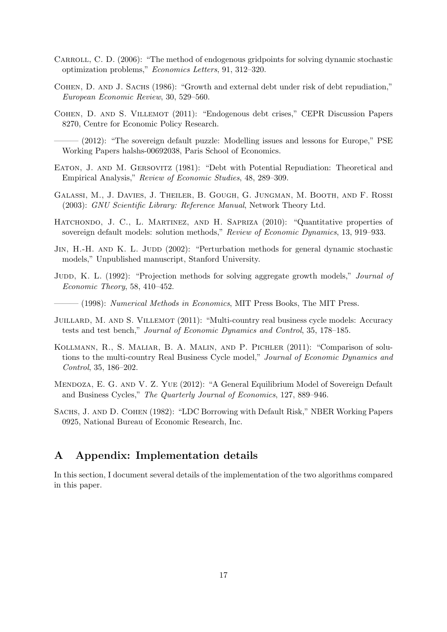- <span id="page-17-1"></span>CARROLL, C. D. (2006): "The method of endogenous gridpoints for solving dynamic stochastic optimization problems," Economics Letters, 91, 312–320.
- <span id="page-17-5"></span>COHEN, D. AND J. SACHS (1986): "Growth and external debt under risk of debt repudiation," European Economic Review, 30, 529–560.
- <span id="page-17-10"></span>Cohen, D. and S. Villemot (2011): "Endogenous debt crises," CEPR Discussion Papers 8270, Centre for Economic Policy Research.
- <span id="page-17-11"></span> $-$  (2012): "The sovereign default puzzle: Modelling issues and lessons for Europe," PSE Working Papers halshs-00692038, Paris School of Economics.
- <span id="page-17-4"></span>EATON, J. AND M. GERSOVITZ (1981): "Debt with Potential Repudiation: Theoretical and Empirical Analysis," Review of Economic Studies, 48, 289–309.
- <span id="page-17-13"></span>Galassi, M., J. Davies, J. Theiler, B. Gough, G. Jungman, M. Booth, and F. Rossi (2003): GNU Scientific Library: Reference Manual, Network Theory Ltd.
- <span id="page-17-0"></span>HATCHONDO, J. C., L. MARTINEZ, AND H. SAPRIZA (2010): "Quantitative properties of sovereign default models: solution methods," Review of Economic Dynamics, 13, 919–933.
- <span id="page-17-8"></span>JIN, H.-H. AND K. L. JUDD (2002): "Perturbation methods for general dynamic stochastic models," Unpublished manuscript, Stanford University.
- <span id="page-17-7"></span>JUDD, K. L. (1992): "Projection methods for solving aggregate growth models," *Journal of* Economic Theory, 58, 410–452.
- <span id="page-17-6"></span> $-$  (1998): Numerical Methods in Economics, MIT Press Books, The MIT Press.
- <span id="page-17-9"></span>JUILLARD, M. AND S. VILLEMOT (2011): "Multi-country real business cycle models: Accuracy tests and test bench," Journal of Economic Dynamics and Control, 35, 178–185.
- <span id="page-17-2"></span>Kollmann, R., S. Maliar, B. A. Malin, and P. Pichler (2011): "Comparison of solutions to the multi-country Real Business Cycle model," Journal of Economic Dynamics and Control, 35, 186–202.
- <span id="page-17-12"></span>Mendoza, E. G. and V. Z. Yue (2012): "A General Equilibrium Model of Sovereign Default and Business Cycles," The Quarterly Journal of Economics, 127, 889–946.
- SACHS, J. AND D. COHEN (1982): "LDC Borrowing with Default Risk," NBER Working Papers 0925, National Bureau of Economic Research, Inc.

## <span id="page-17-3"></span>A Appendix: Implementation details

In this section, I document several details of the implementation of the two algorithms compared in this paper.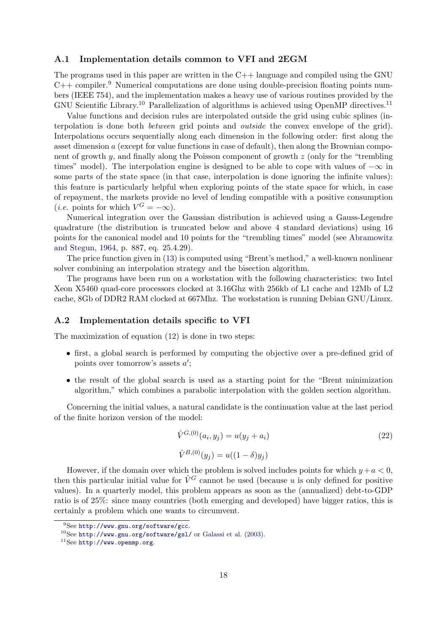## <span id="page-18-1"></span>A.1 Implementation details common to VFI and 2EGM

The programs used in this paper are written in the  $C++$  language and compiled using the GNU  $C++$  compiler.<sup>[9](#page-18-2)</sup> Numerical computations are done using double-precision floating points numbers (IEEE 754), and the implementation makes a heavy use of various routines provided by the GNU Scientific Library.<sup>[10](#page-18-3)</sup> Parallelization of algorithms is achieved using OpenMP directives.<sup>[11](#page-18-4)</sup>

Value functions and decision rules are interpolated outside the grid using cubic splines (interpolation is done both between grid points and outside the convex envelope of the grid). Interpolations occurs sequentially along each dimension in the following order: first along the asset dimension a (except for value functions in case of default), then along the Brownian component of growth y, and finally along the Poisson component of growth z (only for the "trembling times" model). The interpolation engine is designed to be able to cope with values of  $-\infty$  in some parts of the state space (in that case, interpolation is done ignoring the infinite values): this feature is particularly helpful when exploring points of the state space for which, in case of repayment, the markets provide no level of lending compatible with a positive consumption (*i.e.* points for which  $V^G = -\infty$ ).

Numerical integration over the Gaussian distribution is achieved using a Gauss-Legendre quadrature (the distribution is truncated below and above 4 standard deviations) using 16 points for the canonical model and 10 points for the "trembling times" model (see [Abramowitz](#page-16-5) [and Stegun,](#page-16-5) [1964,](#page-16-5) p. 887, eq. 25.4.29).

The price function given in [\(13\)](#page-6-1) is computed using "Brent's method," a well-known nonlinear solver combining an interpolation strategy and the bisection algorithm.

The programs have been run on a workstation with the following characteristics: two Intel Xeon X5460 quad-core processors clocked at 3.16Ghz with 256kb of L1 cache and 12Mb of L2 cache, 8Gb of DDR2 RAM clocked at 667Mhz. The workstation is running Debian GNU/Linux.

#### <span id="page-18-0"></span>A.2 Implementation details specific to VFI

The maximization of equation [\(12\)](#page-5-3) is done in two steps:

- first, a global search is performed by computing the objective over a pre-defined grid of points over tomorrow's assets  $a'$ ;
- the result of the global search is used as a starting point for the "Brent minimization algorithm," which combines a parabolic interpolation with the golden section algorithm.

Concerning the initial values, a natural candidate is the continuation value at the last period of the finite horizon version of the model:

<span id="page-18-5"></span>
$$
\hat{V}^{G,(0)}(a_i, y_j) = u(y_j + a_i)
$$
\n
$$
\hat{V}^{B,(0)}(y_j) = u((1 - \delta)y_j)
$$
\n(22)

However, if the domain over which the problem is solved includes points for which  $y+a < 0$ , then this particular initial value for  $\hat{V}^G$  cannot be used (because u is only defined for positive values). In a quarterly model, this problem appears as soon as the (annualized) debt-to-GDP ratio is of 25%: since many countries (both emerging and developed) have bigger ratios, this is certainly a problem which one wants to circumvent.

<span id="page-18-2"></span><sup>9</sup>See <http://www.gnu.org/software/gcc>.

<span id="page-18-3"></span><sup>10</sup>See <http://www.gnu.org/software/gsl/> or [Galassi et al.](#page-17-13) [\(2003\)](#page-17-13).

<span id="page-18-4"></span> $11$ See <http://www.openmp.org>.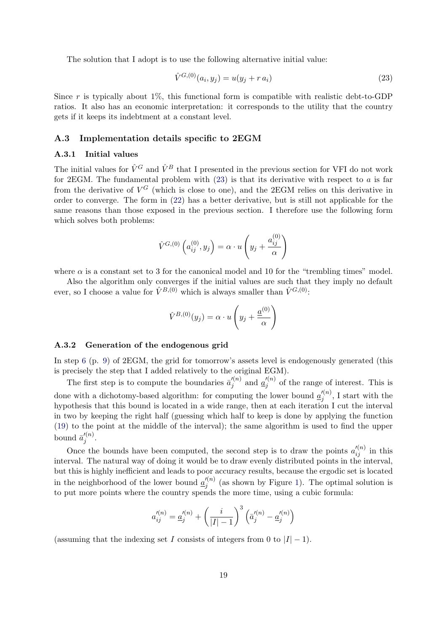The solution that I adopt is to use the following alternative initial value:

<span id="page-19-1"></span>
$$
\hat{V}^{G,(0)}(a_i, y_j) = u(y_j + r a_i)
$$
\n(23)

Since r is typically about 1\%, this functional form is compatible with realistic debt-to-GDP ratios. It also has an economic interpretation: it corresponds to the utility that the country gets if it keeps its indebtment at a constant level.

### <span id="page-19-0"></span>A.3 Implementation details specific to 2EGM

## A.3.1 Initial values

The initial values for  $\hat{V}^G$  and  $\hat{V}^B$  that I presented in the previous section for VFI do not work for 2EGM. The fundamental problem with [\(23\)](#page-19-1) is that its derivative with respect to a is far from the derivative of  $V^G$  (which is close to one), and the 2EGM relies on this derivative in order to converge. The form in [\(22\)](#page-18-5) has a better derivative, but is still not applicable for the same reasons than those exposed in the previous section. I therefore use the following form which solves both problems:

$$
\hat{V}^{G,(0)}\left(a_{ij}^{(0)}, y_j\right) = \alpha \cdot u\left(y_j + \frac{a_{ij}^{(0)}}{\alpha}\right)
$$

where  $\alpha$  is a constant set to 3 for the canonical model and 10 for the "trembling times" model.

Also the algorithm only converges if the initial values are such that they imply no default ever, so I choose a value for  $\hat{V}^{B,(0)}$  which is always smaller than  $\hat{V}^{G,(0)}$ :

$$
\hat{V}^{B,(0)}(y_j) = \alpha \cdot u \left( y_j + \frac{a^{(0)}}{\alpha} \right)
$$

#### A.3.2 Generation of the endogenous grid

In step [6](#page-9-2) (p. [9\)](#page-9-2) of 2EGM, the grid for tomorrow's assets level is endogenously generated (this is precisely the step that I added relatively to the original EGM).

The first step is to compute the boundaries  $\bar{a}'^{(n)}_i$  $j^{(n)}$  and  $\underline{a}'^{(n)}_j$  $j^{(n)}$  of the range of interest. This is done with a dichotomy-based algorithm: for computing the lower bound  $\underline{a}'^{(n)}_i$  $j^{(n)}$ , I start with the hypothesis that this bound is located in a wide range, then at each iteration I cut the interval in two by keeping the right half (guessing which half to keep is done by applying the function [\(19\)](#page-10-1) to the point at the middle of the interval); the same algorithm is used to find the upper bound  $\bar{a}'^{(n)}_i$  $\frac{j^{(n)}}{j}$ .

Once the bounds have been computed, the second step is to draw the points  $a_{ij}^{\prime (n)}$  in this interval. The natural way of doing it would be to draw evenly distributed points in the interval, but this is highly inefficient and leads to poor accuracy results, because the ergodic set is located in the neighborhood of the lower bound  $\underline{a}'^{(n)}_i$  $j_j^{(n)}$  (as shown by Figure [1\)](#page-9-0). The optimal solution is to put more points where the country spends the more time, using a cubic formula:

$$
a_{ij}^{\prime (n)} = \underline{a}_{j}^{\prime (n)} + \left(\frac{i}{|I|-1}\right)^3 \left(\bar{a}_{j}^{\prime (n)} - \underline{a}_{j}^{\prime (n)}\right)
$$

(assuming that the indexing set I consists of integers from 0 to  $|I| - 1$ ).